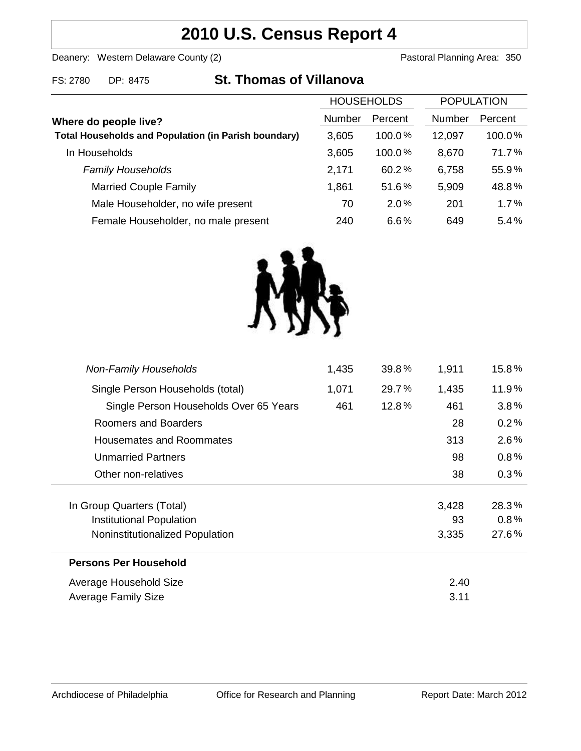# **2010 U.S. Census Report 4**

Deanery: Western Delaware County (2) Deanery: Western Delaware County (2)

FS: 2780 DP: 8475 **St. Thomas of Villanova**

|                                                             | <b>HOUSEHOLDS</b> |           | <b>POPULATION</b> |         |
|-------------------------------------------------------------|-------------------|-----------|-------------------|---------|
| Where do people live?                                       | Number            | Percent   | <b>Number</b>     | Percent |
| <b>Total Households and Population (in Parish boundary)</b> | 3,605             | 100.0%    | 12,097            | 100.0%  |
| In Households                                               | 3,605             | $100.0\%$ | 8,670             | 71.7%   |
| <b>Family Households</b>                                    | 2,171             | 60.2%     | 6,758             | 55.9%   |
| <b>Married Couple Family</b>                                | 1,861             | 51.6%     | 5,909             | 48.8%   |
| Male Householder, no wife present                           | 70                | 2.0%      | 201               | 1.7%    |
| Female Householder, no male present                         | 240               | $6.6\%$   | 649               | 5.4%    |



| <b>Non-Family Households</b>           | 1,435 | 39.8% | 1,911 | 15.8%   |
|----------------------------------------|-------|-------|-------|---------|
| Single Person Households (total)       | 1,071 | 29.7% | 1,435 | 11.9%   |
| Single Person Households Over 65 Years | 461   | 12.8% | 461   | 3.8%    |
| Roomers and Boarders                   |       |       | 28    | 0.2%    |
| Housemates and Roommates               |       |       | 313   | $2.6\%$ |
| <b>Unmarried Partners</b>              |       |       | 98    | 0.8%    |
| Other non-relatives                    |       |       | 38    | 0.3%    |
|                                        |       |       |       |         |
| In Group Quarters (Total)              |       |       | 3,428 | 28.3%   |
| Institutional Population               |       |       | 93    | 0.8%    |
| Noninstitutionalized Population        |       |       | 3,335 | 27.6%   |
| <b>Persons Per Household</b>           |       |       |       |         |
| Average Household Size                 | 2.40  |       |       |         |
| Average Family Size                    | 3.11  |       |       |         |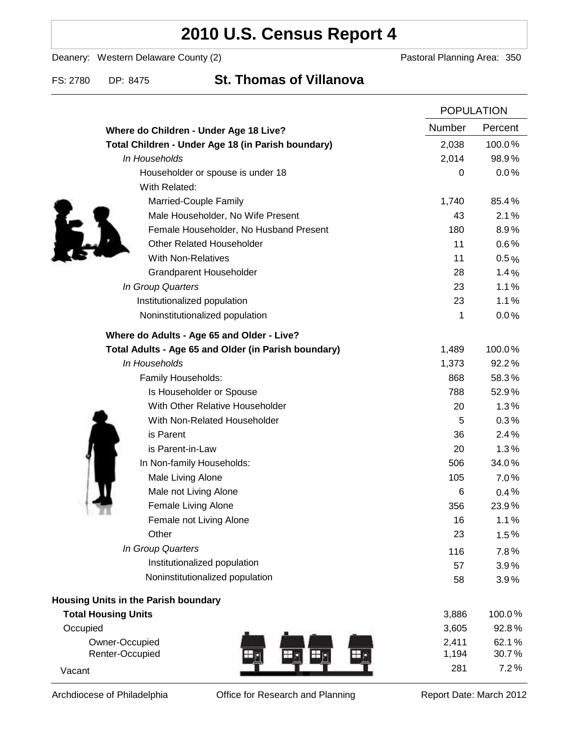# **2010 U.S. Census Report 4**

Deanery: Western Delaware County (2) Deanery: Western Delaware County (2)

### FS: 2780 DP: 8475 **St. Thomas of Villanova**

|                                                      | <b>POPULATION</b> |         |
|------------------------------------------------------|-------------------|---------|
| Where do Children - Under Age 18 Live?               | Number            | Percent |
| Total Children - Under Age 18 (in Parish boundary)   | 2,038             | 100.0%  |
| In Households                                        | 2,014             | 98.9%   |
| Householder or spouse is under 18                    | 0                 | 0.0%    |
| With Related:                                        |                   |         |
| Married-Couple Family                                | 1,740             | 85.4%   |
| Male Householder, No Wife Present                    | 43                | 2.1%    |
| Female Householder, No Husband Present               | 180               | 8.9%    |
| <b>Other Related Householder</b>                     | 11                | 0.6%    |
| <b>With Non-Relatives</b>                            | 11                | 0.5%    |
| <b>Grandparent Householder</b>                       | 28                | 1.4%    |
| In Group Quarters                                    | 23                | 1.1%    |
| Institutionalized population                         | 23                | 1.1%    |
| Noninstitutionalized population                      | 1                 | 0.0%    |
| Where do Adults - Age 65 and Older - Live?           |                   |         |
| Total Adults - Age 65 and Older (in Parish boundary) | 1,489             | 100.0%  |
| In Households                                        | 1,373             | 92.2%   |
| Family Households:                                   | 868               | 58.3%   |
| Is Householder or Spouse                             | 788               | 52.9%   |
| With Other Relative Householder                      | 20                | 1.3%    |
| With Non-Related Householder                         | 5                 | 0.3%    |
| is Parent                                            | 36                | 2.4%    |
| is Parent-in-Law                                     | 20                | 1.3%    |
| In Non-family Households:                            | 506               | 34.0%   |
| Male Living Alone                                    | 105               | $7.0\%$ |
| Male not Living Alone                                | 6                 | 0.4%    |
| Female Living Alone                                  | 356               | 23.9%   |
| Female not Living Alone                              | 16                | 1.1%    |
| Other                                                | 23                | 1.5%    |
| In Group Quarters                                    | 116               | 7.8%    |
| Institutionalized population                         | 57                | 3.9%    |
| Noninstitutionalized population                      | 58                | 3.9%    |
| <b>Housing Units in the Parish boundary</b>          |                   |         |
| <b>Total Housing Units</b>                           | 3,886             | 100.0%  |
| Occupied                                             | 3,605             | 92.8%   |
| Owner-Occupied                                       | 2,411             | 62.1%   |
| Renter-Occupied                                      | 1,194             | 30.7%   |
| Vacant                                               | 281               | 7.2%    |

Archdiocese of Philadelphia **Office for Research and Planning** Report Date: March 2012